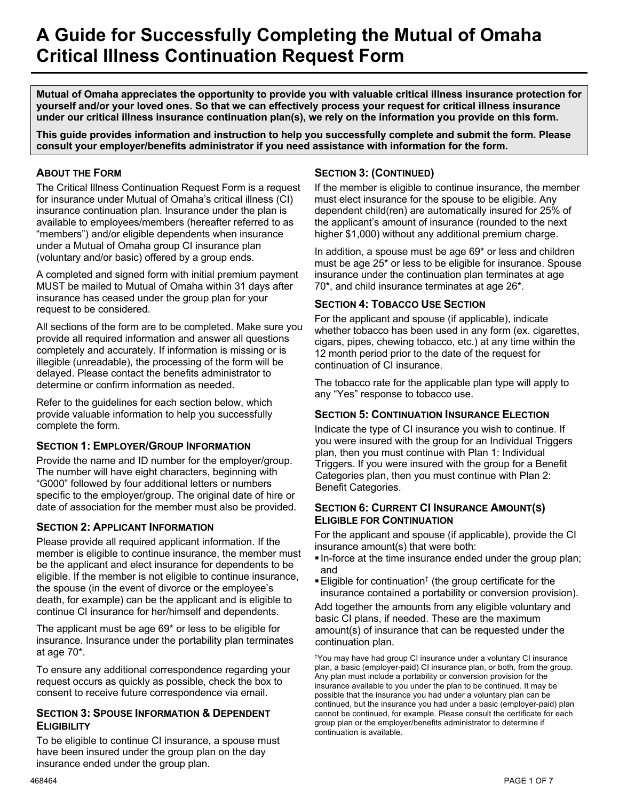# **A Guide for Successfully Completing the Mutual of Omaha Critical Illness Continuation Request Form**

**Mutual of Omaha appreciates the opportunity to provide you with valuable critical illness insurance protection for yourself and/or your loved ones. So that we can effectively process your request for critical illness insurance under our critical illness insurance continuation plan(s), we rely on the information you provide on this form.**

**This guide provides information and instruction to help you successfully complete and submit the form. Please consult your employer/benefits administrator if you need assistance with information for the form.**

# **ABOUT THE FORM**

The Critical Illness Continuation Request Form is a request for insurance under Mutual of Omaha's critical illness (CI) insurance continuation plan. Insurance under the plan is available to employees/members (hereafter referred to as "members") and/or eligible dependents when insurance under a Mutual of Omaha group CI insurance plan (voluntary and/or basic) offered by a group ends.

A completed and signed form with initial premium payment MUST be mailed to Mutual of Omaha within 31 days after insurance has ceased under the group plan for your request to be considered.

All sections of the form are to be completed. Make sure you provide all required information and answer all questions completely and accurately. If information is missing or is illegible (unreadable), the processing of the form will be delayed. Please contact the benefits administrator to determine or confirm information as needed.

Refer to the guidelines for each section below, which provide valuable information to help you successfully complete the form.

# **SECTION 1: EMPLOYER/GROUP INFORMATION**

Provide the name and ID number for the employer/group. The number will have eight characters, beginning with "G000" followed by four additional letters or numbers specific to the employer/group. The original date of hire or date of association for the member must also be provided.

# **SECTION 2: APPLICANT INFORMATION**

Please provide all required applicant information. If the member is eligible to continue insurance, the member must be the applicant and elect insurance for dependents to be eligible. If the member is not eligible to continue insurance, the spouse (in the event of divorce or the employee's death, for example) can be the applicant and is eligible to continue CI insurance for her/himself and dependents.

The applicant must be age 69\* or less to be eligible for insurance. Insurance under the portability plan terminates at age 70\*.

To ensure any additional correspondence regarding your request occurs as quickly as possible, check the box to consent to receive future correspondence via email.

#### **SECTION 3: SPOUSE INFORMATION & DEPENDENT ELIGIBILITY**

To be eligible to continue CI insurance, a spouse must have been insured under the group plan on the day insurance ended under the group plan.

# **SECTION 3: (CONTINUED)**

If the member is eligible to continue insurance, the member must elect insurance for the spouse to be eligible. Any dependent child(ren) are automatically insured for 25% of the applicant's amount of insurance (rounded to the next higher \$1,000) without any additional premium charge.

In addition, a spouse must be age 69\* or less and children must be age 25\* or less to be eligible for insurance. Spouse insurance under the continuation plan terminates at age 70\*, and child insurance terminates at age 26\*.

# **SECTION 4: TOBACCO USE SECTION**

For the applicant and spouse (if applicable), indicate whether tobacco has been used in any form (ex. cigarettes, cigars, pipes, chewing tobacco, etc.) at any time within the 12 month period prior to the date of the request for continuation of CI insurance.

The tobacco rate for the applicable plan type will apply to any "Yes" response to tobacco use.

# **SECTION 5: CONTINUATION INSURANCE ELECTION**

Indicate the type of CI insurance you wish to continue. If you were insured with the group for an Individual Triggers plan, then you must continue with Plan 1: Individual Triggers. If you were insured with the group for a Benefit Categories plan, then you must continue with Plan 2: Benefit Categories.

# **SECTION 6: CURRENT CI INSURANCE AMOUNT(S) ELIGIBLE FOR CONTINUATION**

For the applicant and spouse (if applicable), provide the CI insurance amount(s) that were both:

- In-force at the time insurance ended under the group plan; and
- **Eligible for continuation<sup>†</sup>** (the group certificate for the insurance contained a portability or conversion provision).

Add together the amounts from any eligible voluntary and basic CI plans, if needed. These are the maximum amount(s) of insurance that can be requested under the continuation plan.

† You may have had group CI insurance under a voluntary CI insurance plan, a basic (employer-paid) CI insurance plan, or both, from the group. Any plan must include a portability or conversion provision for the insurance available to you under the plan to be continued. It may be possible that the insurance you had under a voluntary plan can be continued, but the insurance you had under a basic (employer-paid) plan cannot be continued, for example. Please consult the certificate for each group plan or the employer/benefits administrator to determine if continuation is available.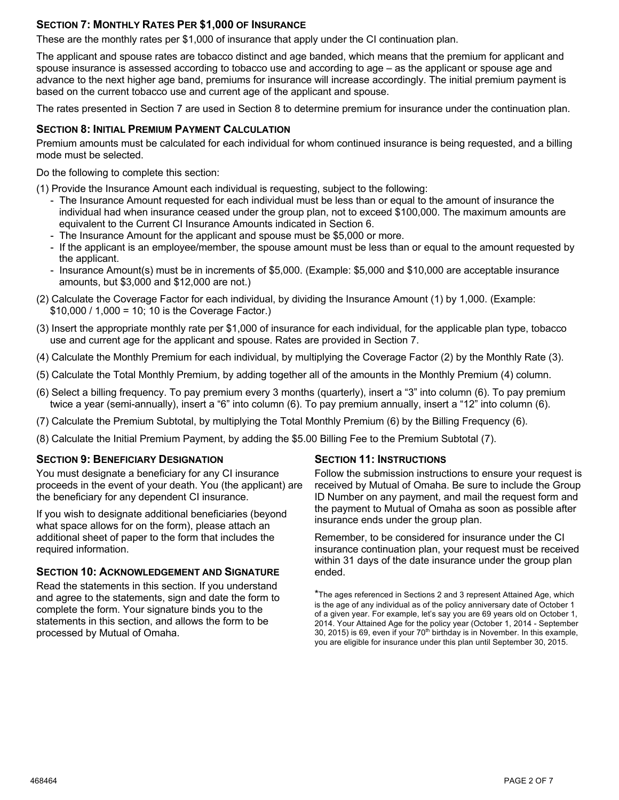# **SECTION 7: MONTHLY RATES PER \$1,000 OF INSURANCE**

These are the monthly rates per \$1,000 of insurance that apply under the CI continuation plan.

The applicant and spouse rates are tobacco distinct and age banded, which means that the premium for applicant and spouse insurance is assessed according to tobacco use and according to age – as the applicant or spouse age and advance to the next higher age band, premiums for insurance will increase accordingly. The initial premium payment is based on the current tobacco use and current age of the applicant and spouse.

The rates presented in Section 7 are used in Section 8 to determine premium for insurance under the continuation plan.

# **SECTION 8: INITIAL PREMIUM PAYMENT CALCULATION**

Premium amounts must be calculated for each individual for whom continued insurance is being requested, and a billing mode must be selected.

Do the following to complete this section:

(1) Provide the Insurance Amount each individual is requesting, subject to the following:

- The Insurance Amount requested for each individual must be less than or equal to the amount of insurance the individual had when insurance ceased under the group plan, not to exceed \$100,000. The maximum amounts are equivalent to the Current CI Insurance Amounts indicated in Section 6.
- The Insurance Amount for the applicant and spouse must be \$5,000 or more.
- If the applicant is an employee/member, the spouse amount must be less than or equal to the amount requested by the applicant.
- Insurance Amount(s) must be in increments of \$5,000. (Example: \$5,000 and \$10,000 are acceptable insurance amounts, but \$3,000 and \$12,000 are not.)
- (2) Calculate the Coverage Factor for each individual, by dividing the Insurance Amount (1) by 1,000. (Example: \$10,000 / 1,000 = 10; 10 is the Coverage Factor.)
- (3) Insert the appropriate monthly rate per \$1,000 of insurance for each individual, for the applicable plan type, tobacco use and current age for the applicant and spouse. Rates are provided in Section 7.
- (4) Calculate the Monthly Premium for each individual, by multiplying the Coverage Factor (2) by the Monthly Rate (3).
- (5) Calculate the Total Monthly Premium, by adding together all of the amounts in the Monthly Premium (4) column.
- (6) Select a billing frequency. To pay premium every 3 months (quarterly), insert a "3" into column (6). To pay premium twice a year (semi-annually), insert a "6" into column (6). To pay premium annually, insert a "12" into column (6).
- (7) Calculate the Premium Subtotal, by multiplying the Total Monthly Premium (6) by the Billing Frequency (6).
- (8) Calculate the Initial Premium Payment, by adding the \$5.00 Billing Fee to the Premium Subtotal (7).

#### **SECTION 9: BENEFICIARY DESIGNATION**

You must designate a beneficiary for any CI insurance proceeds in the event of your death. You (the applicant) are the beneficiary for any dependent CI insurance.

If you wish to designate additional beneficiaries (beyond what space allows for on the form), please attach an additional sheet of paper to the form that includes the required information.

#### **SECTION 10: ACKNOWLEDGEMENT AND SIGNATURE**

Read the statements in this section. If you understand and agree to the statements, sign and date the form to complete the form. Your signature binds you to the statements in this section, and allows the form to be processed by Mutual of Omaha.

#### **SECTION 11: INSTRUCTIONS**

Follow the submission instructions to ensure your request is received by Mutual of Omaha. Be sure to include the Group ID Number on any payment, and mail the request form and the payment to Mutual of Omaha as soon as possible after insurance ends under the group plan.

Remember, to be considered for insurance under the CI insurance continuation plan, your request must be received within 31 days of the date insurance under the group plan ended.

<sup>\*</sup>The ages referenced in Sections 2 and 3 represent Attained Age, which is the age of any individual as of the policy anniversary date of October 1 of a given year. For example, let's say you are 69 years old on October 1, 2014. Your Attained Age for the policy year (October 1, 2014 - September  $30, 2015$ ) is 69, even if your  $70<sup>th</sup>$  birthday is in November. In this example, you are eligible for insurance under this plan until September 30, 2015.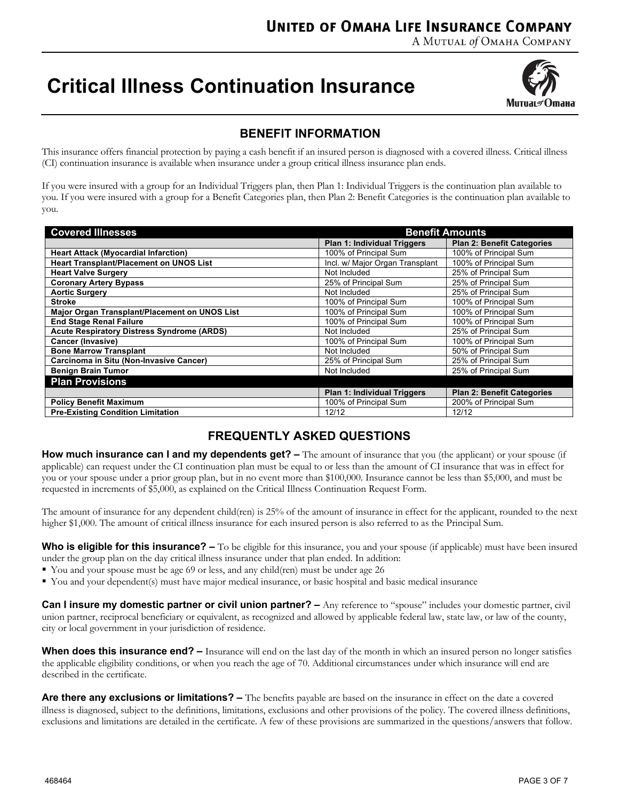A MUTUAL of OMAHA COMPANY

# **Critical Illness Continuation Insurance**



# **BENEFIT INFORMATION**

This insurance offers financial protection by paying a cash benefit if an insured person is diagnosed with a covered illness. Critical illness (CI) continuation insurance is available when insurance under a group critical illness insurance plan ends.

If you were insured with a group for an Individual Triggers plan, then Plan 1: Individual Triggers is the continuation plan available to you. If you were insured with a group for a Benefit Categories plan, then Plan 2: Benefit Categories is the continuation plan available to you.

| <b>Covered Illnesses</b>                          | <b>Benefit Amounts</b>             |                                   |  |  |  |  |
|---------------------------------------------------|------------------------------------|-----------------------------------|--|--|--|--|
|                                                   | <b>Plan 1: Individual Triggers</b> | <b>Plan 2: Benefit Categories</b> |  |  |  |  |
| <b>Heart Attack (Myocardial Infarction)</b>       | 100% of Principal Sum              | 100% of Principal Sum             |  |  |  |  |
| Heart Transplant/Placement on UNOS List           | Incl. w/ Major Organ Transplant    | 100% of Principal Sum             |  |  |  |  |
| <b>Heart Valve Surgery</b>                        | Not Included                       | 25% of Principal Sum              |  |  |  |  |
| <b>Coronary Artery Bypass</b>                     | 25% of Principal Sum               | 25% of Principal Sum              |  |  |  |  |
| <b>Aortic Surgery</b>                             | Not Included                       | 25% of Principal Sum              |  |  |  |  |
| <b>Stroke</b>                                     | 100% of Principal Sum              | 100% of Principal Sum             |  |  |  |  |
| Major Organ Transplant/Placement on UNOS List     | 100% of Principal Sum              | 100% of Principal Sum             |  |  |  |  |
| <b>End Stage Renal Failure</b>                    | 100% of Principal Sum              | 100% of Principal Sum             |  |  |  |  |
| <b>Acute Respiratory Distress Syndrome (ARDS)</b> | Not Included                       | 25% of Principal Sum              |  |  |  |  |
| <b>Cancer (Invasive)</b>                          | 100% of Principal Sum              | 100% of Principal Sum             |  |  |  |  |
| <b>Bone Marrow Transplant</b>                     | Not Included                       | 50% of Principal Sum              |  |  |  |  |
| Carcinoma in Situ (Non-Invasive Cancer)           | 25% of Principal Sum               | 25% of Principal Sum              |  |  |  |  |
| <b>Benign Brain Tumor</b>                         | Not Included                       | 25% of Principal Sum              |  |  |  |  |
| <b>Plan Provisions</b>                            |                                    |                                   |  |  |  |  |
|                                                   | <b>Plan 1: Individual Triggers</b> | <b>Plan 2: Benefit Categories</b> |  |  |  |  |
| <b>Policy Benefit Maximum</b>                     | 100% of Principal Sum              | 200% of Principal Sum             |  |  |  |  |
| <b>Pre-Existing Condition Limitation</b>          | 12/12                              | 12/12                             |  |  |  |  |

# **FREQUENTLY ASKED QUESTIONS**

**How much insurance can I and my dependents get?** – The amount of insurance that you (the applicant) or your spouse (if applicable) can request under the CI continuation plan must be equal to or less than the amount of CI insurance that was in effect for you or your spouse under a prior group plan, but in no event more than \$100,000. Insurance cannot be less than \$5,000, and must be requested in increments of \$5,000, as explained on the Critical Illness Continuation Request Form.

The amount of insurance for any dependent child(ren) is 25% of the amount of insurance in effect for the applicant, rounded to the next higher \$1,000. The amount of critical illness insurance for each insured person is also referred to as the Principal Sum.

Who is eligible for this insurance? – To be eligible for this insurance, you and your spouse (if applicable) must have been insured under the group plan on the day critical illness insurance under that plan ended. In addition:

- § You and your spouse must be age 69 or less, and any child(ren) must be under age 26
- § You and your dependent(s) must have major medical insurance, or basic hospital and basic medical insurance

**Can I insure my domestic partner or civil union partner?** – Any reference to "spouse" includes your domestic partner, civil union partner, reciprocal beneficiary or equivalent, as recognized and allowed by applicable federal law, state law, or law of the county, city or local government in your jurisdiction of residence.

**When does this insurance end?** – Insurance will end on the last day of the month in which an insured person no longer satisfies the applicable eligibility conditions, or when you reach the age of 70. Additional circumstances under which insurance will end are described in the certificate.

**Are there any exclusions or limitations? –** The benefits payable are based on the insurance in effect on the date a covered illness is diagnosed, subject to the definitions, limitations, exclusions and other provisions of the policy. The covered illness definitions, exclusions and limitations are detailed in the certificate. A few of these provisions are summarized in the questions/answers that follow.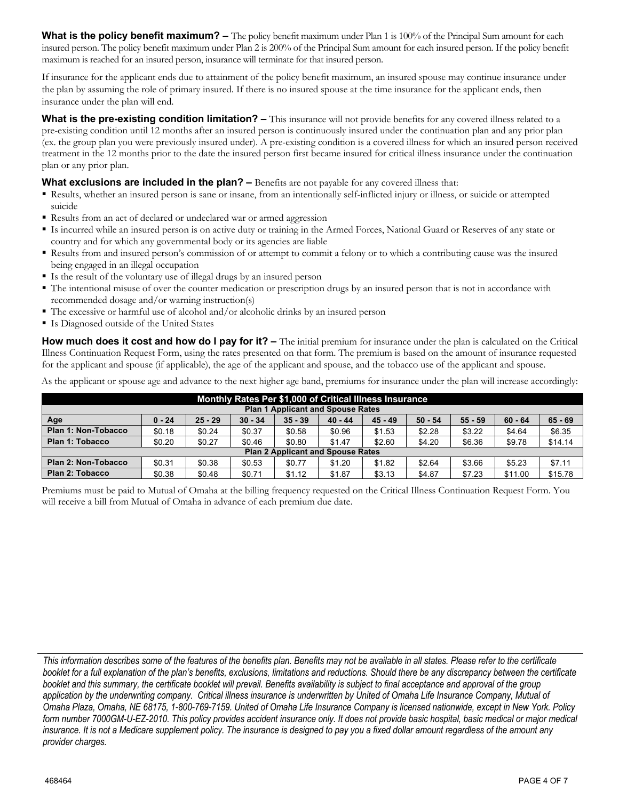**What is the policy benefit maximum?** – The policy benefit maximum under Plan 1 is 100% of the Principal Sum amount for each insured person. The policy benefit maximum under Plan 2 is 200% of the Principal Sum amount for each insured person. If the policy benefit maximum is reached for an insured person, insurance will terminate for that insured person.

If insurance for the applicant ends due to attainment of the policy benefit maximum, an insured spouse may continue insurance under the plan by assuming the role of primary insured. If there is no insured spouse at the time insurance for the applicant ends, then insurance under the plan will end.

**What is the pre-existing condition limitation?** – This insurance will not provide benefits for any covered illness related to a pre-existing condition until 12 months after an insured person is continuously insured under the continuation plan and any prior plan (ex. the group plan you were previously insured under). A pre-existing condition is a covered illness for which an insured person received treatment in the 12 months prior to the date the insured person first became insured for critical illness insurance under the continuation plan or any prior plan.

#### **What exclusions are included in the plan?** – Benefits are not payable for any covered illness that:

- § Results, whether an insured person is sane or insane, from an intentionally self-inflicted injury or illness, or suicide or attempted suicide
- Results from an act of declared or undeclared war or armed aggression
- § Is incurred while an insured person is on active duty or training in the Armed Forces, National Guard or Reserves of any state or country and for which any governmental body or its agencies are liable
- § Results from and insured person's commission of or attempt to commit a felony or to which a contributing cause was the insured being engaged in an illegal occupation
- § Is the result of the voluntary use of illegal drugs by an insured person
- § The intentional misuse of over the counter medication or prescription drugs by an insured person that is not in accordance with recommended dosage and/or warning instruction(s)
- The excessive or harmful use of alcohol and/or alcoholic drinks by an insured person
- Is Diagnosed outside of the United States

**How much does it cost and how do I pay for it?** – The initial premium for insurance under the plan is calculated on the Critical Illness Continuation Request Form, using the rates presented on that form. The premium is based on the amount of insurance requested for the applicant and spouse (if applicable), the age of the applicant and spouse, and the tobacco use of the applicant and spouse.

As the applicant or spouse age and advance to the next higher age band, premiums for insurance under the plan will increase accordingly:

| Monthly Rates Per \$1,000 of Critical Illness Insurance                                                                              |        |        |        |        |        |        |        |        |         |         |  |
|--------------------------------------------------------------------------------------------------------------------------------------|--------|--------|--------|--------|--------|--------|--------|--------|---------|---------|--|
| <b>Plan 1 Applicant and Spouse Rates</b>                                                                                             |        |        |        |        |        |        |        |        |         |         |  |
| Age<br>$65 - 69$<br>$25 - 29$<br>$30 - 34$<br>$35 - 39$<br>$40 - 44$<br>$45 - 49$<br>$55 - 59$<br>$50 - 54$<br>$60 - 64$<br>$0 - 24$ |        |        |        |        |        |        |        |        |         |         |  |
| Plan 1: Non-Tobacco                                                                                                                  | \$0.18 | \$0.24 | \$0.37 | \$0.58 | \$0.96 | \$1.53 | \$2.28 | \$3.22 | \$4.64  | \$6.35  |  |
| Plan 1: Tobacco                                                                                                                      | \$0.20 | \$0.27 | \$0.46 | \$0.80 | \$1.47 | \$2.60 | \$4.20 | \$6.36 | \$9.78  | \$14.14 |  |
| <b>Plan 2 Applicant and Spouse Rates</b>                                                                                             |        |        |        |        |        |        |        |        |         |         |  |
| Plan 2: Non-Tobacco                                                                                                                  | \$0.31 | \$0.38 | \$0.53 | \$0.77 | \$1.20 | \$1.82 | \$2.64 | \$3.66 | \$5.23  | \$7.11  |  |
| Plan 2: Tobacco                                                                                                                      | \$0.38 | \$0.48 | \$0.71 | \$1.12 | \$1.87 | \$3.13 | \$4.87 | \$7.23 | \$11.00 | \$15.78 |  |

Premiums must be paid to Mutual of Omaha at the billing frequency requested on the Critical Illness Continuation Request Form. You will receive a bill from Mutual of Omaha in advance of each premium due date.

*This information describes some of the features of the benefits plan. Benefits may not be available in all states. Please refer to the certificate booklet for a full explanation of the plan's benefits, exclusions, limitations and reductions. Should there be any discrepancy between the certificate booklet and this summary, the certificate booklet will prevail. Benefits availability is subject to final acceptance and approval of the group application by the underwriting company. Critical illness insurance is underwritten by United of Omaha Life Insurance Company, Mutual of Omaha Plaza, Omaha, NE 68175, 1-800-769-7159. United of Omaha Life Insurance Company is licensed nationwide, except in New York. Policy form number 7000GM-U-EZ-2010. This policy provides accident insurance only. It does not provide basic hospital, basic medical or major medical insurance. It is not a Medicare supplement policy. The insurance is designed to pay you a fixed dollar amount regardless of the amount any provider charges.*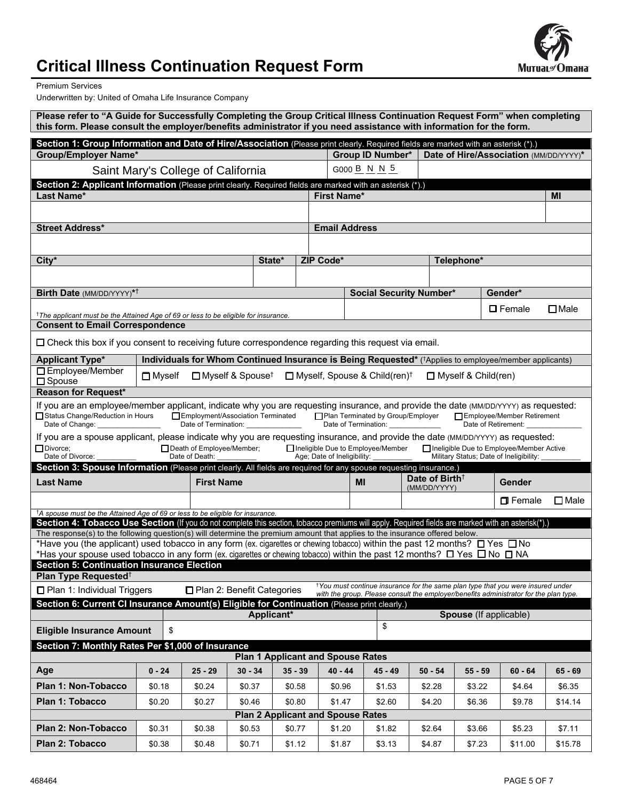

# **Critical Illness Continuation Request Form**

Premium Services

Underwritten by: United of Omaha Life Insurance Company

| Please refer to "A Guide for Successfully Completing the Group Critical Illness Continuation Request Form" when completing<br>this form. Please consult the employer/benefits administrator if you need assistance with information for the form.                                                                                           |                                                                                                                                                                                                                                      |                                                                                                  |                              |                                                    |                      |                                                                                                                                                                                      |                                            |                        |                     |             |  |
|---------------------------------------------------------------------------------------------------------------------------------------------------------------------------------------------------------------------------------------------------------------------------------------------------------------------------------------------|--------------------------------------------------------------------------------------------------------------------------------------------------------------------------------------------------------------------------------------|--------------------------------------------------------------------------------------------------|------------------------------|----------------------------------------------------|----------------------|--------------------------------------------------------------------------------------------------------------------------------------------------------------------------------------|--------------------------------------------|------------------------|---------------------|-------------|--|
| Section 1: Group Information and Date of Hire/Association (Please print clearly. Required fields are marked with an asterisk (*).)<br><b>Group/Employer Name*</b><br><b>Group ID Number*</b><br>Date of Hire/Association (MM/DD/YYYY)*                                                                                                      |                                                                                                                                                                                                                                      |                                                                                                  |                              |                                                    |                      |                                                                                                                                                                                      |                                            |                        |                     |             |  |
|                                                                                                                                                                                                                                                                                                                                             |                                                                                                                                                                                                                                      |                                                                                                  | G000 B N N 5                 |                                                    |                      |                                                                                                                                                                                      |                                            |                        |                     |             |  |
| Saint Mary's College of California<br>Section 2: Applicant Information (Please print clearly. Required fields are marked with an asterisk (*).)                                                                                                                                                                                             |                                                                                                                                                                                                                                      |                                                                                                  |                              |                                                    |                      |                                                                                                                                                                                      |                                            |                        |                     |             |  |
| Last Name*                                                                                                                                                                                                                                                                                                                                  |                                                                                                                                                                                                                                      | <b>First Name*</b>                                                                               |                              |                                                    |                      |                                                                                                                                                                                      | MI                                         |                        |                     |             |  |
|                                                                                                                                                                                                                                                                                                                                             |                                                                                                                                                                                                                                      |                                                                                                  |                              |                                                    |                      |                                                                                                                                                                                      |                                            |                        |                     |             |  |
| <b>Street Address*</b>                                                                                                                                                                                                                                                                                                                      |                                                                                                                                                                                                                                      |                                                                                                  |                              |                                                    | <b>Email Address</b> |                                                                                                                                                                                      |                                            |                        |                     |             |  |
|                                                                                                                                                                                                                                                                                                                                             |                                                                                                                                                                                                                                      |                                                                                                  |                              |                                                    |                      |                                                                                                                                                                                      |                                            |                        |                     |             |  |
| City*                                                                                                                                                                                                                                                                                                                                       |                                                                                                                                                                                                                                      |                                                                                                  | State*                       |                                                    | ZIP Code*            |                                                                                                                                                                                      |                                            | Telephone*             |                     |             |  |
|                                                                                                                                                                                                                                                                                                                                             |                                                                                                                                                                                                                                      |                                                                                                  |                              |                                                    |                      |                                                                                                                                                                                      |                                            |                        |                     |             |  |
| Birth Date (MM/DD/YYYY)* <sup>†</sup>                                                                                                                                                                                                                                                                                                       |                                                                                                                                                                                                                                      |                                                                                                  |                              |                                                    |                      | <b>Social Security Number*</b>                                                                                                                                                       |                                            |                        | Gender*             |             |  |
| <sup>†</sup> The applicant must be the Attained Age of 69 or less to be eligible for insurance.                                                                                                                                                                                                                                             |                                                                                                                                                                                                                                      |                                                                                                  |                              |                                                    |                      |                                                                                                                                                                                      |                                            |                        | $\square$ Female    | $\Box$ Male |  |
| <b>Consent to Email Correspondence</b>                                                                                                                                                                                                                                                                                                      |                                                                                                                                                                                                                                      |                                                                                                  |                              |                                                    |                      |                                                                                                                                                                                      |                                            |                        |                     |             |  |
| $\Box$ Check this box if you consent to receiving future correspondence regarding this request via email.                                                                                                                                                                                                                                   |                                                                                                                                                                                                                                      |                                                                                                  |                              |                                                    |                      |                                                                                                                                                                                      |                                            |                        |                     |             |  |
| <b>Applicant Type*</b>                                                                                                                                                                                                                                                                                                                      |                                                                                                                                                                                                                                      |                                                                                                  |                              |                                                    |                      |                                                                                                                                                                                      |                                            |                        |                     |             |  |
| □ Employee/Member<br>$\square$ Spouse                                                                                                                                                                                                                                                                                                       | Individuals for Whom Continued Insurance is Being Requested* (*Applies to employee/member applicants)<br>□ Myself & Spouse <sup>†</sup><br>□ Myself, Spouse & Child(ren) <sup>†</sup><br>$\Box$ Myself<br>$\Box$ Myself & Child(ren) |                                                                                                  |                              |                                                    |                      |                                                                                                                                                                                      |                                            |                        |                     |             |  |
| Reason for Request*                                                                                                                                                                                                                                                                                                                         |                                                                                                                                                                                                                                      |                                                                                                  |                              |                                                    |                      |                                                                                                                                                                                      |                                            |                        |                     |             |  |
| If you are an employee/member applicant, indicate why you are requesting insurance, and provide the date (MM/DD/YYYY) as requested:<br>Status Change/Reduction in Hours<br>Date of Change: 2008                                                                                                                                             |                                                                                                                                                                                                                                      | Employment/Association Terminated<br>Date of Termination: <b>Capability</b> Date of Termination: |                              |                                                    |                      | □ Plan Terminated by Group/Employer □ Employee/Member Retirement<br>Date of Termination: ______________                                                                              |                                            |                        | Date of Retirement: |             |  |
| If you are a spouse applicant, please indicate why you are requesting insurance, and provide the date (MM/DD/YYYY) as requested:<br>$\Box$ Divorce;<br>Ineligible Due to Employee/Member<br>Death of Employee/Member;<br>Ineligible Due to Employee/Member Active<br>Age; Date of Ineligibility:<br>Military Status; Date of Ineligibility: |                                                                                                                                                                                                                                      |                                                                                                  |                              |                                                    |                      |                                                                                                                                                                                      |                                            |                        |                     |             |  |
| Date of Divorce:                                                                                                                                                                                                                                                                                                                            |                                                                                                                                                                                                                                      | Date of Death:                                                                                   |                              |                                                    |                      |                                                                                                                                                                                      |                                            |                        |                     |             |  |
| Section 3: Spouse Information (Please print clearly. All fields are required for any spouse requesting insurance.)                                                                                                                                                                                                                          |                                                                                                                                                                                                                                      |                                                                                                  |                              |                                                    |                      |                                                                                                                                                                                      |                                            |                        |                     |             |  |
| <b>Last Name</b>                                                                                                                                                                                                                                                                                                                            |                                                                                                                                                                                                                                      | <b>First Name</b>                                                                                |                              |                                                    |                      | MI                                                                                                                                                                                   | Date of Birth <sup>†</sup><br>(MM/DD/YYYY) |                        | <b>Gender</b>       |             |  |
|                                                                                                                                                                                                                                                                                                                                             |                                                                                                                                                                                                                                      |                                                                                                  |                              |                                                    |                      |                                                                                                                                                                                      |                                            |                        | $\Box$ Female       | $\Box$ Male |  |
| <sup>†</sup> A spouse must be the Attained Age of 69 or less to be eligible for insurance.                                                                                                                                                                                                                                                  |                                                                                                                                                                                                                                      |                                                                                                  |                              |                                                    |                      |                                                                                                                                                                                      |                                            |                        |                     |             |  |
| Section 4: Tobacco Use Section (If you do not complete this section, tobacco premiums will apply. Required fields are marked with an asterisk(*).)<br>The response(s) to the following question(s) will determine the premium amount that applies to the insurance offered below.                                                           |                                                                                                                                                                                                                                      |                                                                                                  |                              |                                                    |                      |                                                                                                                                                                                      |                                            |                        |                     |             |  |
| *Have you (the applicant) used tobacco in any form (ex. cigarettes or chewing tobacco) within the past 12 months? $\Box$ Yes $\Box$ No                                                                                                                                                                                                      |                                                                                                                                                                                                                                      |                                                                                                  |                              |                                                    |                      |                                                                                                                                                                                      |                                            |                        |                     |             |  |
| *Has your spouse used tobacco in any form (ex. cigarettes or chewing tobacco) within the past 12 months? $\Box$ Yes $\Box$ No $\Box$ NA<br><b>Section 5: Continuation Insurance Election</b>                                                                                                                                                |                                                                                                                                                                                                                                      |                                                                                                  |                              |                                                    |                      |                                                                                                                                                                                      |                                            |                        |                     |             |  |
| Plan Type Requested <sup>†</sup>                                                                                                                                                                                                                                                                                                            |                                                                                                                                                                                                                                      |                                                                                                  |                              |                                                    |                      |                                                                                                                                                                                      |                                            |                        |                     |             |  |
| □ Plan 1: Individual Triggers                                                                                                                                                                                                                                                                                                               |                                                                                                                                                                                                                                      |                                                                                                  | □ Plan 2: Benefit Categories |                                                    |                      | <sup>†</sup> You must continue insurance for the same plan type that you were insured under<br>with the group. Please consult the employer/benefits administrator for the plan type. |                                            |                        |                     |             |  |
| Section 6: Current CI Insurance Amount(s) Eligible for Continuation (Please print clearly.)                                                                                                                                                                                                                                                 |                                                                                                                                                                                                                                      |                                                                                                  |                              |                                                    |                      |                                                                                                                                                                                      |                                            |                        |                     |             |  |
| <b>Eligible Insurance Amount</b>                                                                                                                                                                                                                                                                                                            | \$                                                                                                                                                                                                                                   |                                                                                                  | Applicant*                   |                                                    |                      | \$                                                                                                                                                                                   |                                            | Spouse (If applicable) |                     |             |  |
| Section 7: Monthly Rates Per \$1,000 of Insurance                                                                                                                                                                                                                                                                                           |                                                                                                                                                                                                                                      |                                                                                                  |                              |                                                    |                      |                                                                                                                                                                                      |                                            |                        |                     |             |  |
|                                                                                                                                                                                                                                                                                                                                             |                                                                                                                                                                                                                                      |                                                                                                  |                              | <b>Plan 1 Applicant and Spouse Rates</b>           |                      |                                                                                                                                                                                      |                                            |                        |                     |             |  |
| Age                                                                                                                                                                                                                                                                                                                                         | $0 - 24$                                                                                                                                                                                                                             | $25 - 29$                                                                                        | $30 - 34$                    | $35 - 39$                                          | $40 - 44$            | $45 - 49$                                                                                                                                                                            | $50 - 54$                                  | $55 - 59$              | $60 - 64$           | $65 - 69$   |  |
| Plan 1: Non-Tobacco                                                                                                                                                                                                                                                                                                                         | \$0.18                                                                                                                                                                                                                               | \$0.24                                                                                           | \$0.37                       | \$0.58                                             | \$0.96               | \$1.53                                                                                                                                                                               | \$2.28                                     | \$3.22                 | \$4.64              | \$6.35      |  |
| Plan 1: Tobacco                                                                                                                                                                                                                                                                                                                             | \$0.20                                                                                                                                                                                                                               | \$0.27                                                                                           | \$0.46                       | \$0.80                                             | \$1.47               | \$2.60                                                                                                                                                                               | \$4.20                                     | \$6.36                 | \$9.78              | \$14.14     |  |
| Plan 2: Non-Tobacco                                                                                                                                                                                                                                                                                                                         | \$0.31                                                                                                                                                                                                                               | \$0.38                                                                                           | \$0.53                       | <b>Plan 2 Applicant and Spouse Rates</b><br>\$0.77 | \$1.20               | \$1.82                                                                                                                                                                               | \$2.64                                     | \$3.66                 | \$5.23              | \$7.11      |  |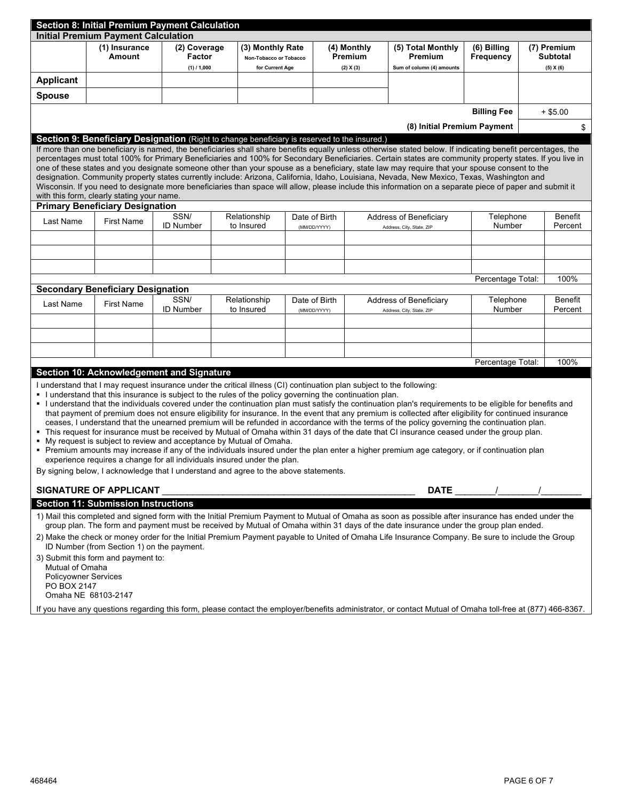| <b>Section 8: Initial Premium Payment Calculation</b>                                                                                                                                                                                                                                                                                                                                                                                                                                                                                                                   |                                                                                                                                                                                                                                    |                  |                            |                  |               |               |                           |                                                                                                                                                                                                                                                                                                        |                    |                    |                |  |
|-------------------------------------------------------------------------------------------------------------------------------------------------------------------------------------------------------------------------------------------------------------------------------------------------------------------------------------------------------------------------------------------------------------------------------------------------------------------------------------------------------------------------------------------------------------------------|------------------------------------------------------------------------------------------------------------------------------------------------------------------------------------------------------------------------------------|------------------|----------------------------|------------------|---------------|---------------|---------------------------|--------------------------------------------------------------------------------------------------------------------------------------------------------------------------------------------------------------------------------------------------------------------------------------------------------|--------------------|--------------------|----------------|--|
| <b>Initial Premium Payment Calculation</b>                                                                                                                                                                                                                                                                                                                                                                                                                                                                                                                              |                                                                                                                                                                                                                                    |                  |                            |                  |               |               |                           |                                                                                                                                                                                                                                                                                                        |                    |                    |                |  |
|                                                                                                                                                                                                                                                                                                                                                                                                                                                                                                                                                                         | (1) Insurance                                                                                                                                                                                                                      | (2) Coverage     |                            | (3) Monthly Rate |               | (4) Monthly   |                           | (5) Total Monthly                                                                                                                                                                                                                                                                                      | (6) Billing        | (7) Premium        |                |  |
|                                                                                                                                                                                                                                                                                                                                                                                                                                                                                                                                                                         | Amount                                                                                                                                                                                                                             | Factor           | Non-Tobacco or Tobacco     |                  |               |               | Premium                   | Premium                                                                                                                                                                                                                                                                                                | Frequency          |                    | Subtotal       |  |
|                                                                                                                                                                                                                                                                                                                                                                                                                                                                                                                                                                         |                                                                                                                                                                                                                                    | $(1)$ / 1,000    |                            | for Current Age  |               | (2) X (3)     |                           | Sum of column (4) amounts                                                                                                                                                                                                                                                                              |                    |                    | (5) X (6)      |  |
| <b>Applicant</b>                                                                                                                                                                                                                                                                                                                                                                                                                                                                                                                                                        |                                                                                                                                                                                                                                    |                  |                            |                  |               |               |                           |                                                                                                                                                                                                                                                                                                        |                    |                    |                |  |
| <b>Spouse</b>                                                                                                                                                                                                                                                                                                                                                                                                                                                                                                                                                           |                                                                                                                                                                                                                                    |                  |                            |                  |               |               |                           |                                                                                                                                                                                                                                                                                                        |                    |                    |                |  |
|                                                                                                                                                                                                                                                                                                                                                                                                                                                                                                                                                                         |                                                                                                                                                                                                                                    |                  |                            |                  |               |               |                           |                                                                                                                                                                                                                                                                                                        | <b>Billing Fee</b> |                    | $+$ \$5.00     |  |
|                                                                                                                                                                                                                                                                                                                                                                                                                                                                                                                                                                         |                                                                                                                                                                                                                                    |                  |                            |                  |               |               |                           |                                                                                                                                                                                                                                                                                                        |                    |                    |                |  |
|                                                                                                                                                                                                                                                                                                                                                                                                                                                                                                                                                                         | (8) Initial Premium Payment                                                                                                                                                                                                        |                  |                            |                  |               |               |                           |                                                                                                                                                                                                                                                                                                        |                    | \$                 |                |  |
| Section 9: Beneficiary Designation (Right to change beneficiary is reserved to the insured.)<br>If more than one beneficiary is named, the beneficiaries shall share benefits equally unless otherwise stated below. If indicating benefit percentages, the<br>percentages must total 100% for Primary Beneficiaries and 100% for Secondary Beneficiaries. Certain states are community property states. If you live in<br>one of these states and you designate someone other than your spouse as a beneficiary, state law may require that your spouse consent to the |                                                                                                                                                                                                                                    |                  |                            |                  |               |               |                           |                                                                                                                                                                                                                                                                                                        |                    |                    |                |  |
|                                                                                                                                                                                                                                                                                                                                                                                                                                                                                                                                                                         |                                                                                                                                                                                                                                    |                  |                            |                  |               |               |                           | designation. Community property states currently include: Arizona, California, Idaho, Louisiana, Nevada, New Mexico, Texas, Washington and<br>Wisconsin. If you need to designate more beneficiaries than space will allow, please include this information on a separate piece of paper and submit it |                    |                    |                |  |
|                                                                                                                                                                                                                                                                                                                                                                                                                                                                                                                                                                         | with this form, clearly stating your name.                                                                                                                                                                                         |                  |                            |                  |               |               |                           |                                                                                                                                                                                                                                                                                                        |                    |                    |                |  |
|                                                                                                                                                                                                                                                                                                                                                                                                                                                                                                                                                                         | <b>Primary Beneficiary Designation</b>                                                                                                                                                                                             |                  |                            |                  |               |               |                           |                                                                                                                                                                                                                                                                                                        |                    |                    |                |  |
| Last Name                                                                                                                                                                                                                                                                                                                                                                                                                                                                                                                                                               | <b>First Name</b>                                                                                                                                                                                                                  | SSN/             |                            | Relationship     |               | Date of Birth |                           | Address of Beneficiary                                                                                                                                                                                                                                                                                 | Telephone          |                    | <b>Benefit</b> |  |
|                                                                                                                                                                                                                                                                                                                                                                                                                                                                                                                                                                         |                                                                                                                                                                                                                                    | <b>ID Number</b> |                            | to Insured       |               | (MM/DD/YYYY)  |                           | Address, City, State, ZIP                                                                                                                                                                                                                                                                              | Number             |                    | Percent        |  |
|                                                                                                                                                                                                                                                                                                                                                                                                                                                                                                                                                                         |                                                                                                                                                                                                                                    |                  |                            |                  |               |               |                           |                                                                                                                                                                                                                                                                                                        |                    |                    |                |  |
|                                                                                                                                                                                                                                                                                                                                                                                                                                                                                                                                                                         |                                                                                                                                                                                                                                    |                  |                            |                  |               |               |                           |                                                                                                                                                                                                                                                                                                        |                    |                    |                |  |
|                                                                                                                                                                                                                                                                                                                                                                                                                                                                                                                                                                         |                                                                                                                                                                                                                                    |                  |                            |                  |               |               |                           |                                                                                                                                                                                                                                                                                                        |                    |                    |                |  |
|                                                                                                                                                                                                                                                                                                                                                                                                                                                                                                                                                                         |                                                                                                                                                                                                                                    |                  |                            |                  |               |               |                           |                                                                                                                                                                                                                                                                                                        | Percentage Total:  |                    | 100%           |  |
|                                                                                                                                                                                                                                                                                                                                                                                                                                                                                                                                                                         | <b>Secondary Beneficiary Designation</b>                                                                                                                                                                                           |                  |                            |                  |               |               |                           |                                                                                                                                                                                                                                                                                                        |                    |                    |                |  |
| Last Name                                                                                                                                                                                                                                                                                                                                                                                                                                                                                                                                                               | SSN/<br><b>First Name</b><br><b>ID Number</b>                                                                                                                                                                                      |                  | Relationship<br>to Insured |                  | Date of Birth |               | Address of Beneficiary    | Telephone<br>Number                                                                                                                                                                                                                                                                                    |                    | Benefit<br>Percent |                |  |
|                                                                                                                                                                                                                                                                                                                                                                                                                                                                                                                                                                         |                                                                                                                                                                                                                                    |                  |                            |                  | (MM/DD/YYYY)  |               | Address, City, State, ZIP |                                                                                                                                                                                                                                                                                                        |                    |                    |                |  |
|                                                                                                                                                                                                                                                                                                                                                                                                                                                                                                                                                                         |                                                                                                                                                                                                                                    |                  |                            |                  |               |               |                           |                                                                                                                                                                                                                                                                                                        |                    |                    |                |  |
|                                                                                                                                                                                                                                                                                                                                                                                                                                                                                                                                                                         |                                                                                                                                                                                                                                    |                  |                            |                  |               |               |                           |                                                                                                                                                                                                                                                                                                        |                    |                    |                |  |
|                                                                                                                                                                                                                                                                                                                                                                                                                                                                                                                                                                         |                                                                                                                                                                                                                                    |                  |                            |                  |               |               |                           |                                                                                                                                                                                                                                                                                                        |                    |                    |                |  |
|                                                                                                                                                                                                                                                                                                                                                                                                                                                                                                                                                                         |                                                                                                                                                                                                                                    |                  |                            |                  |               |               |                           |                                                                                                                                                                                                                                                                                                        | Percentage Total:  |                    | 100%           |  |
|                                                                                                                                                                                                                                                                                                                                                                                                                                                                                                                                                                         | Section 10: Acknowledgement and Signature                                                                                                                                                                                          |                  |                            |                  |               |               |                           |                                                                                                                                                                                                                                                                                                        |                    |                    |                |  |
|                                                                                                                                                                                                                                                                                                                                                                                                                                                                                                                                                                         | I understand that I may request insurance under the critical illness (CI) continuation plan subject to the following:<br>. I understand that this insurance is subject to the rules of the policy governing the continuation plan. |                  |                            |                  |               |               |                           |                                                                                                                                                                                                                                                                                                        |                    |                    |                |  |
|                                                                                                                                                                                                                                                                                                                                                                                                                                                                                                                                                                         |                                                                                                                                                                                                                                    |                  |                            |                  |               |               |                           | I understand that the individuals covered under the continuation plan must satisfy the continuation plan's requirements to be eligible for benefits and                                                                                                                                                |                    |                    |                |  |
|                                                                                                                                                                                                                                                                                                                                                                                                                                                                                                                                                                         |                                                                                                                                                                                                                                    |                  |                            |                  |               |               |                           | that payment of premium does not ensure eligibility for insurance. In the event that any premium is collected after eligibility for continued insurance                                                                                                                                                |                    |                    |                |  |
|                                                                                                                                                                                                                                                                                                                                                                                                                                                                                                                                                                         |                                                                                                                                                                                                                                    |                  |                            |                  |               |               |                           | ceases, I understand that the unearned premium will be refunded in accordance with the terms of the policy governing the continuation plan.<br>. This request for insurance must be received by Mutual of Omaha within 31 days of the date that CI insurance ceased under the group plan.              |                    |                    |                |  |
|                                                                                                                                                                                                                                                                                                                                                                                                                                                                                                                                                                         | • My request is subject to review and acceptance by Mutual of Omaha.                                                                                                                                                               |                  |                            |                  |               |               |                           |                                                                                                                                                                                                                                                                                                        |                    |                    |                |  |
|                                                                                                                                                                                                                                                                                                                                                                                                                                                                                                                                                                         |                                                                                                                                                                                                                                    |                  |                            |                  |               |               |                           | " Premium amounts may increase if any of the individuals insured under the plan enter a higher premium age category, or if continuation plan                                                                                                                                                           |                    |                    |                |  |
|                                                                                                                                                                                                                                                                                                                                                                                                                                                                                                                                                                         | experience requires a change for all individuals insured under the plan.                                                                                                                                                           |                  |                            |                  |               |               |                           |                                                                                                                                                                                                                                                                                                        |                    |                    |                |  |
|                                                                                                                                                                                                                                                                                                                                                                                                                                                                                                                                                                         | By signing below, I acknowledge that I understand and agree to the above statements.                                                                                                                                               |                  |                            |                  |               |               |                           |                                                                                                                                                                                                                                                                                                        |                    |                    |                |  |
|                                                                                                                                                                                                                                                                                                                                                                                                                                                                                                                                                                         | <b>SIGNATURE OF APPLICANT</b>                                                                                                                                                                                                      |                  |                            |                  |               |               |                           | <b>DATE</b>                                                                                                                                                                                                                                                                                            |                    |                    |                |  |
|                                                                                                                                                                                                                                                                                                                                                                                                                                                                                                                                                                         | <b>Section 11: Submission Instructions</b>                                                                                                                                                                                         |                  |                            |                  |               |               |                           |                                                                                                                                                                                                                                                                                                        |                    |                    |                |  |
|                                                                                                                                                                                                                                                                                                                                                                                                                                                                                                                                                                         |                                                                                                                                                                                                                                    |                  |                            |                  |               |               |                           |                                                                                                                                                                                                                                                                                                        |                    |                    |                |  |
| 1) Mail this completed and signed form with the Initial Premium Payment to Mutual of Omaha as soon as possible after insurance has ended under the<br>group plan. The form and payment must be received by Mutual of Omaha within 31 days of the date insurance under the group plan ended.                                                                                                                                                                                                                                                                             |                                                                                                                                                                                                                                    |                  |                            |                  |               |               |                           |                                                                                                                                                                                                                                                                                                        |                    |                    |                |  |
| 2) Make the check or money order for the Initial Premium Payment payable to United of Omaha Life Insurance Company. Be sure to include the Group<br>ID Number (from Section 1) on the payment.                                                                                                                                                                                                                                                                                                                                                                          |                                                                                                                                                                                                                                    |                  |                            |                  |               |               |                           |                                                                                                                                                                                                                                                                                                        |                    |                    |                |  |
| Mutual of Omaha                                                                                                                                                                                                                                                                                                                                                                                                                                                                                                                                                         | 3) Submit this form and payment to:                                                                                                                                                                                                |                  |                            |                  |               |               |                           |                                                                                                                                                                                                                                                                                                        |                    |                    |                |  |
| <b>Policyowner Services</b><br>PO BOX 2147                                                                                                                                                                                                                                                                                                                                                                                                                                                                                                                              |                                                                                                                                                                                                                                    |                  |                            |                  |               |               |                           |                                                                                                                                                                                                                                                                                                        |                    |                    |                |  |
| Omaha NE 68103-2147                                                                                                                                                                                                                                                                                                                                                                                                                                                                                                                                                     |                                                                                                                                                                                                                                    |                  |                            |                  |               |               |                           |                                                                                                                                                                                                                                                                                                        |                    |                    |                |  |
|                                                                                                                                                                                                                                                                                                                                                                                                                                                                                                                                                                         |                                                                                                                                                                                                                                    |                  |                            |                  |               |               |                           | If you have any questions regarding this form, please contact the employer/benefits administrator, or contact Mutual of Omaha toll-free at (877) 466-8367.                                                                                                                                             |                    |                    |                |  |
|                                                                                                                                                                                                                                                                                                                                                                                                                                                                                                                                                                         |                                                                                                                                                                                                                                    |                  |                            |                  |               |               |                           |                                                                                                                                                                                                                                                                                                        |                    |                    |                |  |